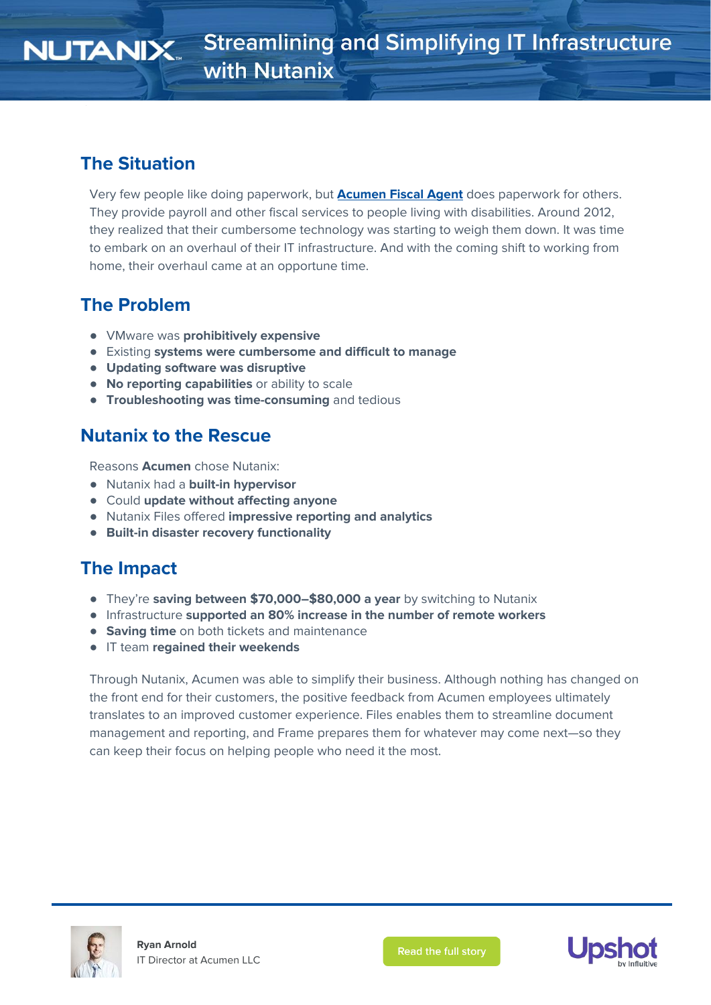## **The Situation**

Very few people like doing paperwork, but **[Acumen](https://www.acumenfiscalagent.com/) Fiscal Agent** does paperwork for others. They provide payroll and other fiscal services to people living with disabilities. Around 2012, they realized that their cumbersome technology was starting to weigh them down. It was time to embark on an overhaul of their IT infrastructure. And with the coming shift to working from home, their overhaul came at an opportune time.

# **The Problem**

- VMware was **prohibitively expensive**
- Existing **systems were cumbersome and difficult to manage**
- **● Updating software was disruptive**
- **No reporting capabilities** or ability to scale
- **Troubleshooting was time-consuming** and tedious

# **Nutanix to the Rescue**

Reasons **Acumen** chose Nutanix:

- Nutanix had a **built-in hypervisor**
- Could **update without affecting anyone**
- **●** Nutanix Files offered **impressive reporting and analytics**
- **● Built-in disaster recovery functionality**

## **The Impact**

- They're **saving between \$70,000–\$80,000 a year** by switching to Nutanix
- **●** Infrastructure **supported an 80% increase in the number of remote workers**
- **● Saving time** on both tickets and maintenance
- IT team **regained their weekends**

Through Nutanix, Acumen was able to simplify their business. Although nothing has changed on the front end for their customers, the positive feedback from Acumen employees ultimately translates to an improved customer experience. Files enables them to streamline document management and reporting, and Frame prepares them for whatever may come next—so they can keep their focus on helping people who need it the most.